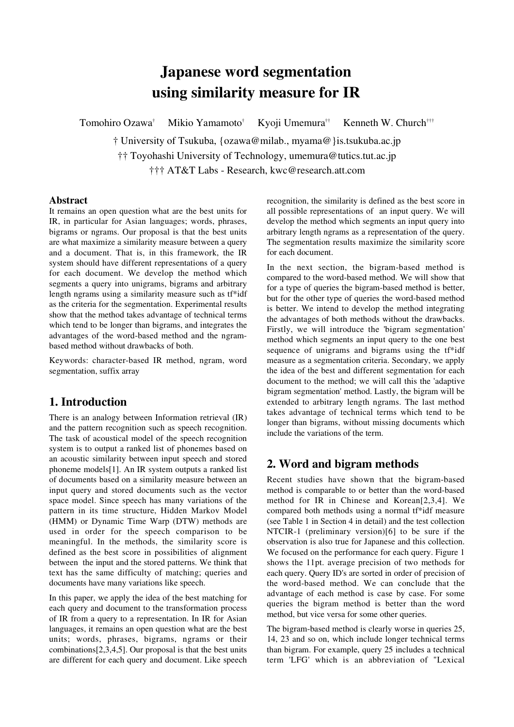# **Japanese word segmentation** using similarity measure for IR

Kenneth W. Church<sup>†††</sup> Tomohiro Ozawa<sup>†</sup> Mikio Yamamoto<sup>†</sup> Kyoji Umemura<sup>††</sup>

† University of Tsukuba, {ozawa@milab., myama@}is.tsukuba.ac.jp †† Toyohashi University of Technology, umemura@tutics.tut.ac.jp ††† AT&T Labs - Research, kwc@research.att.com

### **Abstract**

It remains an open question what are the best units for IR, in particular for Asian languages; words, phrases, bigrams or ngrams. Our proposal is that the best units are what maximize a similarity measure between a query and a document. That is, in this framework, the IR system should have different representations of a query for each document. We develop the method which segments a query into unigrams, bigrams and arbitrary length ngrams using a similarity measure such as tf\*idf as the criteria for the segmentation. Experimental results show that the method takes advantage of technical terms which tend to be longer than bigrams, and integrates the advantages of the word-based method and the ngrambased method without drawbacks of both.

Keywords: character-based IR method, ngram, word segmentation, suffix array

## 1. Introduction

There is an analogy between Information retrieval (IR) and the pattern recognition such as speech recognition. The task of acoustical model of the speech recognition system is to output a ranked list of phonemes based on an acoustic similarity between input speech and stored phoneme models[1]. An IR system outputs a ranked list of documents based on a similarity measure between an input query and stored documents such as the vector space model. Since speech has many variations of the pattern in its time structure, Hidden Markov Model (HMM) or Dynamic Time Warp (DTW) methods are used in order for the speech comparison to be meaningful. In the methods, the similarity score is defined as the best score in possibilities of alignment between the input and the stored patterns. We think that text has the same difficulty of matching; queries and documents have many variations like speech.

In this paper, we apply the idea of the best matching for each query and document to the transformation process of IR from a query to a representation. In IR for Asian languages, it remains an open question what are the best units; words, phrases, bigrams, ngrams or their combinations  $[2,3,4,5]$ . Our proposal is that the best units are different for each query and document. Like speech recognition, the similarity is defined as the best score in all possible representations of an input query. We will develop the method which segments an input query into arbitrary length ngrams as a representation of the query. The segmentation results maximize the similarity score for each document.

In the next section, the bigram-based method is compared to the word-based method. We will show that for a type of queries the bigram-based method is better, but for the other type of queries the word-based method is better. We intend to develop the method integrating the advantages of both methods without the drawbacks. Firstly, we will introduce the 'bigram segmentation' method which segments an input query to the one best sequence of unigrams and bigrams using the tf\*idf measure as a segmentation criteria. Secondary, we apply the idea of the best and different segmentation for each document to the method; we will call this the 'adaptive bigram segmentation' method. Lastly, the bigram will be extended to arbitrary length ngrams. The last method takes advantage of technical terms which tend to be longer than bigrams, without missing documents which include the variations of the term.

## 2. Word and bigram methods

Recent studies have shown that the bigram-based method is comparable to or better than the word-based method for IR in Chinese and Korean<sup>[2,3,4]</sup>. We compared both methods using a normal tf\*idf measure (see Table 1 in Section 4 in detail) and the test collection NTCIR-1 (preliminary version) $[6]$  to be sure if the observation is also true for Japanese and this collection. We focused on the performance for each query. Figure 1 shows the 11pt. average precision of two methods for each query. Query ID's are sorted in order of precision of the word-based method. We can conclude that the advantage of each method is case by case. For some queries the bigram method is better than the word method, but vice versa for some other queries.

The bigram-based method is clearly worse in queries 25, 14, 23 and so on, which include longer technical terms than bigram. For example, query 25 includes a technical term 'LFG' which is an abbreviation of "Lexical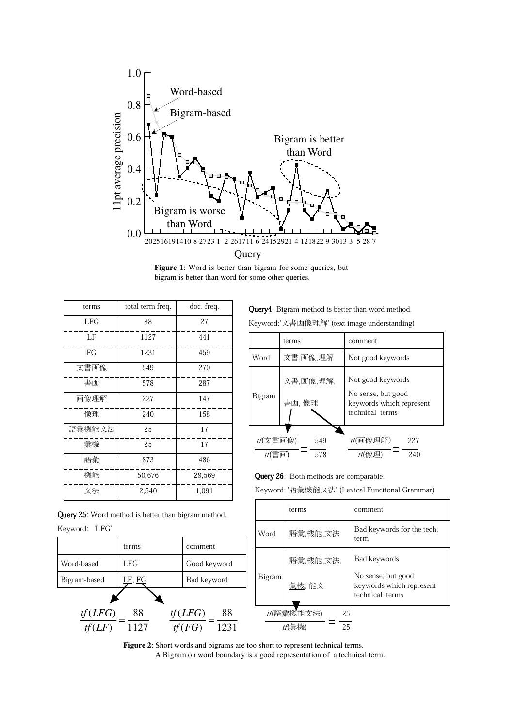



| terms  | total term freq. | doc. freq. |
|--------|------------------|------------|
| LFG    | 88               | 27         |
| LF     | 1127             | 441        |
| FG     | 1231             | 459        |
| 文書画像   | 549              | 270        |
| 書画     | 578              | 287        |
| 画像理解   | 227              | 147        |
| 像理     | 240              | 158        |
| 語彙機能文法 | 25               | 17         |
| 彙機     | 25               | 17         |
| 語彙     | 873              | 486        |
| 機能     | 50,676           |            |
| 文法     | 2,540            | 1,091      |

Query 25: Word method is better than bigram method. Keyword: 'LFG'



**Query4**: Bigram method is better than word method. Keyword:'文書画像理解' (text image understanding)

|                                       | terms      | comment                                                                                |  |
|---------------------------------------|------------|----------------------------------------------------------------------------------------|--|
| Word                                  | 文書,画像,理解   | Not good keywords                                                                      |  |
| 文書,画像,理解,<br>Bigram<br><u> 書画, 像理</u> |            | Not good keywords<br>No sense, but good<br>keywords which represent<br>technical terms |  |
| <i>tf</i> (文書画像)<br>tfl書画)            | 549<br>578 | <i>tf</i> (画像理解)<br>227<br>240<br>tfl像理`                                               |  |

Query 26: Both methods are comparable.

Keyword: '語彙機能文法' (Lexical Functional Grammar)

|                             | terms    | comment                                                                           |  |  |
|-----------------------------|----------|-----------------------------------------------------------------------------------|--|--|
| Word                        | 語彙,機能,文法 | Bad keywords for the tech.<br>term                                                |  |  |
| 語彙 機能 文法<br>Bigram<br>彙機 能文 |          | Bad keywords<br>No sense, but good<br>keywords which represent<br>technical terms |  |  |
| tf(語彙機能文法)<br>25<br>25      |          |                                                                                   |  |  |

Figure 2: Short words and bigrams are too short to represent technical terms. A Bigram on word boundary is a good representation of a technical term.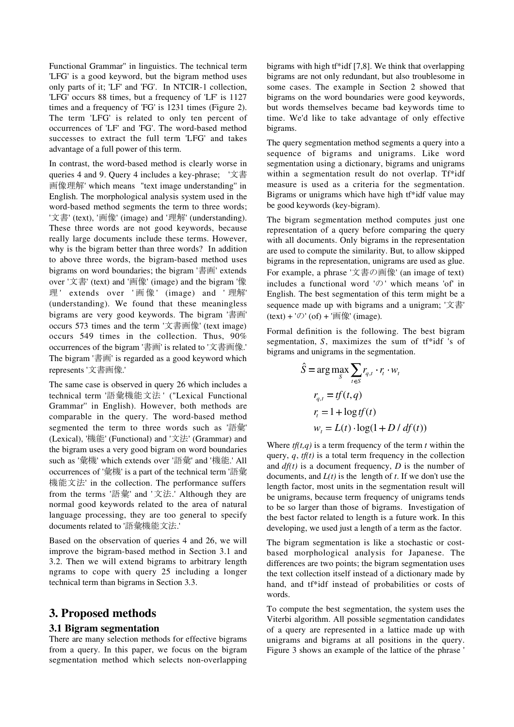Functional Grammar" in linguistics. The technical term 'LFG' is a good keyword, but the bigram method uses only parts of it; 'LF' and 'FG'. In NTCIR-1 collection, 'LFG' occurs 88 times, but a frequency of 'LF' is 1127 times and a frequency of 'FG' is 1231 times (Figure 2). The term 'LFG' is related to only ten percent of occurrences of 'LF' and 'FG'. The word-based method successes to extract the full term 'LFG' and takes advantage of a full power of this term.

In contrast, the word-based method is clearly worse in queries 4 and 9. Query 4 includes a key-phrase; '文書 画像理解' which means "text image understanding" in English. The morphological analysis system used in the word-based method segments the term to three words; '文書' (text), '画像' (image) and '理解' (understanding). These three words are not good keywords, because really large documents include these terms. However, why is the bigram better than three words? In addition to above three words, the bigram-based method uses bigrams on word boundaries; the bigram '書画' extends over '文書' (text) and '画像' (image) and the bigram '像 理' extends over '画像' (image) and '理解' (understanding). We found that these meaningless bigrams are very good keywords. The bigram '書画' occurs 573 times and the term '文書画像' (text image) occurs 549 times in the collection. Thus, 90% occurrences of the bigram '書画' is related to '文書画像.' The bigram '書画' is regarded as a good keyword which represents '文書画像.'

The same case is observed in query 26 which includes a technical term '語彙機能文法' ("Lexical Functional Grammar" in English). However, both methods are comparable in the query. The word-based method segmented the term to three words such as '語彙' (Lexical), '機能' (Functional) and '文法' (Grammar) and the bigram uses a very good bigram on word boundaries such as '彙機' which extends over '語彙' and '機能.' All occurrences of '彙機' is a part of the technical term '語彙 機能文法' in the collection. The performance suffers from the terms '語彙' and '文法.' Although they are normal good keywords related to the area of natural language processing, they are too general to specify documents related to '語彙機能文法'

Based on the observation of queries 4 and 26, we will improve the bigram-based method in Section 3.1 and 3.2. Then we will extend bigrams to arbitrary length ngrams to cope with query 25 including a longer technical term than bigrams in Section 3.3.

#### 3. Proposed methods

#### 3.1 Bigram segmentation

There are many selection methods for effective bigrams from a query. In this paper, we focus on the bigram segmentation method which selects non-overlapping bigrams with high tf\*idf [7,8]. We think that overlapping bigrams are not only redundant, but also troublesome in some cases. The example in Section 2 showed that bigrams on the word boundaries were good keywords, but words themselves became bad keywords time to time. We'd like to take advantage of only effective bigrams.

The query segmentation method segments a query into a sequence of bigrams and unigrams. Like word segmentation using a dictionary, bigrams and unigrams within a segmentation result do not overlap. Tf\*idf measure is used as a criteria for the segmentation. Bigrams or unigrams which have high tf\*idf value may be good keywords (key-bigram).

The bigram segmentation method computes just one representation of a query before comparing the query with all documents. Only bigrams in the representation are used to compute the similarity. But, to allow skipped bigrams in the representation, unigrams are used as glue. For example, a phrase '文書の画像' (an image of text) includes a functional word ' $\oslash$ ' which means 'of' in English. The best segmentation of this term might be a sequence made up with bigrams and a unigram;  $\forall \dot{\mathcal{F}}$  $(text) + 'O' (of) + 'f{f}g' (image).$ 

Formal definition is the following. The best bigram segmentation, S, maximizes the sum of travidition is of bigrams and unigrams in the segmentation.

$$
\hat{S} = \arg \max_{S} \sum_{t \in S} r_{q,t} \cdot r_t \cdot w_t
$$

$$
r_{q,t} = tf(t,q)
$$

$$
r_t = 1 + \log tf(t)
$$

$$
w_t = L(t) \cdot \log(1 + D / df(t))
$$

Where  $tf(t,q)$  is a term frequency of the term t within the query, q,  $tf(t)$  is a total term frequency in the collection and  $df(t)$  is a document frequency, D is the number of documents, and  $L(t)$  is the length of t. If we don't use the length factor, most units in the segmentation result will be unigrams, because term frequency of unigrams tends to be so larger than those of bigrams. Investigation of the best factor related to length is a future work. In this developing, we used just a length of a term as the factor.

The bigram segmentation is like a stochastic or costbased morphological analysis for Japanese. The differences are two points; the bigram segmentation uses the text collection itself instead of a dictionary made by hand, and tf\*idf instead of probabilities or costs of words.

To compute the best segmentation, the system uses the Viterbi algorithm. All possible segmentation candidates of a query are represented in a lattice made up with unigrams and bigrams at all positions in the query. Figure 3 shows an example of the lattice of the phrase '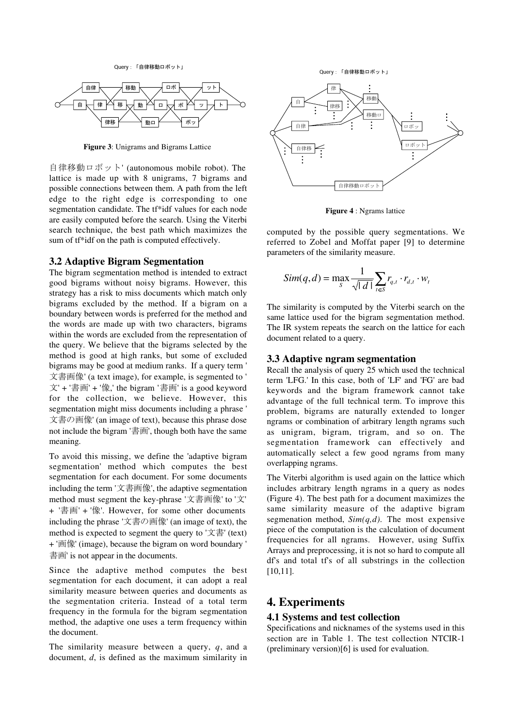Query:「自律移動ロボット」



Figure 3: Unigrams and Bigrams Lattice

自律移動ロボット' (autonomous mobile robot). The lattice is made up with 8 unigrams, 7 bigrams and possible connections between them. A path from the left edge to the right edge is corresponding to one segmentation candidate. The tf\*idf values for each node are easily computed before the search. Using the Viterbi search technique, the best path which maximizes the sum of tf\*idf on the path is computed effectively.

#### **3.2 Adaptive Bigram Segmentation**

The bigram segmentation method is intended to extract good bigrams without noisy bigrams. However, this strategy has a risk to miss documents which match only bigrams excluded by the method. If a bigram on a boundary between words is preferred for the method and the words are made up with two characters, bigrams within the words are excluded from the representation of the query. We believe that the bigrams selected by the method is good at high ranks, but some of excluded bigrams may be good at medium ranks. If a query term ' 文書画像' (a text image), for example, is segmented to ' 文' + '書画' + '像,' the bigram '書画' is a good keyword for the collection, we believe. However, this segmentation might miss documents including a phrase ' 文書の画像' (an image of text), because this phrase dose not include the bigram '書画', though both have the same meaning.

To avoid this missing, we define the 'adaptive bigram segmentation' method which computes the best segmentation for each document. For some documents including the term '文書画像', the adaptive segmentation method must segment the key-phrase '文書画像' to '文' + '書画' + '像'. However, for some other documents including the phrase '文書の画像' (an image of text), the method is expected to segment the query to ' $\overline{\chi}$ \"arright (text) + '画像' (image), because the bigram on word boundary ' 書画 is not appear in the documents.

Since the adaptive method computes the best segmentation for each document, it can adopt a real similarity measure between queries and documents as the segmentation criteria. Instead of a total term frequency in the formula for the bigram segmentation method, the adaptive one uses a term frequency within the document.

The similarity measure between a query,  $q$ , and a document,  $d$ , is defined as the maximum similarity in Query:「自律移動ロボット」



Figure 4 : Ngrams lattice

computed by the possible query segmentations. We referred to Zobel and Moffat paper [9] to determine parameters of the similarity measure.

$$
Sim(q, d) = \max_{S} \frac{1}{\sqrt{|d|}} \sum_{t \in S} r_{q,t} \cdot r_{d,t} \cdot w_t
$$

The similarity is computed by the Viterbi search on the same lattice used for the bigram segmentation method. The IR system repeats the search on the lattice for each document related to a query.

#### 3.3 Adaptive ngram segmentation

Recall the analysis of query 25 which used the technical term 'LFG.' In this case, both of 'LF' and 'FG' are bad keywords and the bigram framework cannot take advantage of the full technical term. To improve this problem, bigrams are naturally extended to longer ngrams or combination of arbitrary length ngrams such as unigram, bigram, trigram, and so on. The segmentation framework can effectively and automatically select a few good ngrams from many overlapping ngrams.

The Viterbi algorithm is used again on the lattice which includes arbitrary length ngrams in a query as nodes (Figure 4). The best path for a document maximizes the same similarity measure of the adaptive bigram segmenation method,  $Sim(q, d)$ . The most expensive piece of the computation is the calculation of document frequencies for all ngrams. However, using Suffix Arrays and preprocessing, it is not so hard to compute all df's and total tf's of all substrings in the collection  $[10.11]$ .

### 4. Experiments

#### 4.1 Systems and test collection

Specifications and nicknames of the systems used in this section are in Table 1. The test collection NTCIR-1 (preliminary version) $[6]$  is used for evaluation.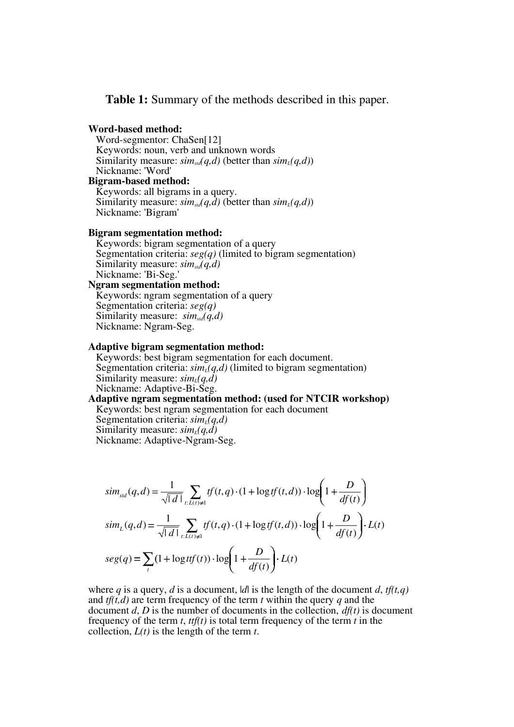**Table 1:** Summary of the methods described in this paper.

#### Word-based method:

Word-segmentor: ChaSen[12] Keywords: noun, verb and unknown words Similarity measure:  $\sin t_{std}(q, d)$  (better than  $\sin t_{l}(q, d)$ ) Nickname: 'Word' **Bigram-based method:** Keywords: all bigrams in a query. Similarity measure:  $\sin s_{\rm sd}(q, d)$  (better than  $\sin t_{\rm L}(q, d)$ )

Nickname: 'Bigram'

#### **Bigram segmentation method:**

Keywords: bigram segmentation of a query Segmentation criteria:  $seg(q)$  (limited to bigram segmentation) Similarity measure:  $sim_{std}(q,d)$ Nickname: 'Bi-Seg.'

## **Ngram segmentation method:**

Keywords: ngram segmentation of a query Segmentation criteria:  $seg(q)$ Similarity measure:  $sim_{std}(q,d)$ Nickname: Ngram-Seg.

#### **Adaptive bigram segmentation method:**

Keywords: best bigram segmentation for each document. Segmentation criteria:  $\sinh(q, d)$  (limited to bigram segmentation) Similarity measure:  $sim<sub>L</sub>(q,d)$ Nickname: Adaptive-Bi-Seg.

Adaptive ngram segmentation method: (used for NTCIR workshop) Keywords: best ngram segmentation for each document Segmentation criteria:  $\sin(u/d)$ Similarity measure:  $sim_l(q,d)$ Nickname: Adaptive-Ngram-Seg.

$$
sim_{std}(q, d) = \frac{1}{\sqrt{|d|}} \sum_{t: L(t) \neq 1} tf(t, q) \cdot (1 + \log tf(t, d)) \cdot \log \left( 1 + \frac{D}{df(t)} \right)
$$
  
\n
$$
sim_{L}(q, d) = \frac{1}{\sqrt{|d|}} \sum_{t: L(t) \neq 1} tf(t, q) \cdot (1 + \log tf(t, d)) \cdot \log \left( 1 + \frac{D}{df(t)} \right) \cdot L(t)
$$
  
\n
$$
seg(q) = \sum_{t} (1 + \log tf(t)) \cdot \log \left( 1 + \frac{D}{df(t)} \right) \cdot L(t)
$$

where q is a query, d is a document, |d| is the length of the document d,  $tf(t,q)$ and  $tf(t, d)$  are term frequency of the term t within the query q and the document d, D is the number of documents in the collection,  $df(t)$  is document frequency of the term t, ttf(t) is total term frequency of the term t in the collection,  $L(t)$  is the length of the term t.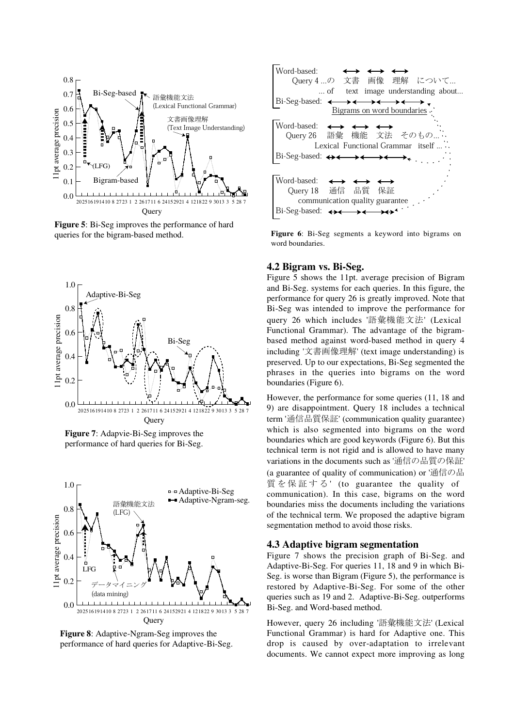

Figure 5: Bi-Seg improves the performance of hard queries for the bigram-based method.







**Figure 8:** Adaptive-Ngram-Seg improves the performance of hard queries for Adaptive-Bi-Seg.



Figure 6: Bi-Seg segments a keyword into bigrams on word boundaries.

#### 4.2 Bigram vs. Bi-Seg.

Figure  $\overline{5}$  shows the 11pt. average precision of Bigram and Bi-Seg. systems for each queries. In this figure, the performance for query 26 is greatly improved. Note that Bi-Seg was intended to improve the performance for query 26 which includes '語彙機能文法' (Lexical Functional Grammar). The advantage of the bigrambased method against word-based method in query 4 including '文書画像理解' (text image understanding) is preserved. Up to our expectations, Bi-Seg segmented the phrases in the queries into bigrams on the word boundaries (Figure 6).

However, the performance for some queries (11, 18 and 9) are disappointment. Query 18 includes a technical term '通信品質保証' (communication quality guarantee) which is also segmented into bigrams on the word boundaries which are good keywords (Figure 6). But this technical term is not rigid and is allowed to have many variations in the documents such as '通信の品質の保証' (a guarantee of quality of communication) or '通信の品 質を保証する' (to guarantee the quality of communication). In this case, bigrams on the word boundaries miss the documents including the variations of the technical term. We proposed the adaptive bigram segmentation method to avoid those risks.

#### 4.3 Adaptive bigram segmentation

Figure 7 shows the precision graph of Bi-Seg. and Adaptive-Bi-Seg. For queries 11, 18 and 9 in which Bi-Seg. is worse than Bigram (Figure 5), the performance is restored by Adaptive-Bi-Seg. For some of the other queries such as 19 and 2. Adaptive-Bi-Seg. outperforms Bi-Seg. and Word-based method.

However, query 26 including '語彙機能文法' (Lexical Functional Grammar) is hard for Adaptive one. This drop is caused by over-adaptation to irrelevant documents. We cannot expect more improving as long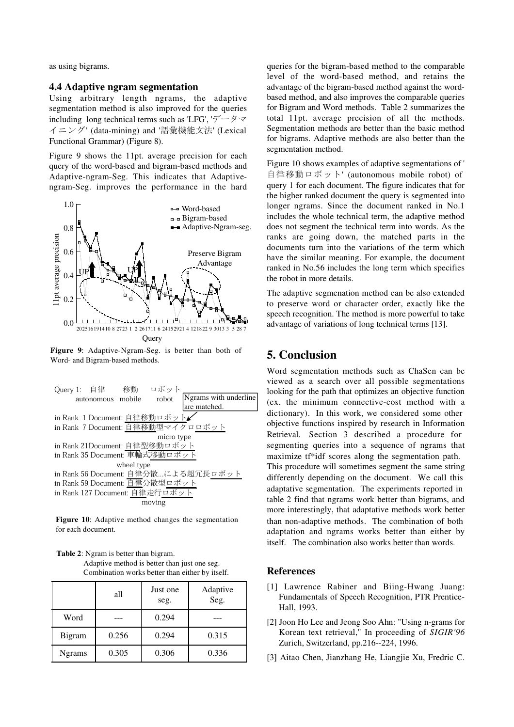as using bigrams.

#### **4.4 Adaptive ngram segmentation**

Using arbitrary length ngrams, the adaptive segmentation method is also improved for the queries including long technical terms such as 'LFG', ' $\vec{\mathcal{F}}$  -  $\beta \leq$ イニング' (data-mining) and '語彙機能文法' (Lexical Functional Grammar) (Figure 8).

Figure 9 shows the 11pt. average precision for each query of the word-based and bigram-based methods and Adaptive-ngram-Seg. This indicates that Adaptivengram-Seg. improves the performance in the hard



Figure 9: Adaptive-Ngram-Seg. is better than both of Word- and Bigram-based methods.



Figure 10: Adaptive method changes the segmentation for each document.

Table 2: Ngram is better than bigram.

| Adaptive method is better than just one seg.    |  |
|-------------------------------------------------|--|
| Combination works better than either by itself. |  |

|               | all   | Just one<br>seg. | Adaptive<br>Seg. |
|---------------|-------|------------------|------------------|
| Word          |       | 0.294            |                  |
| Bigram        | 0.256 | 0.294            | 0.315            |
| <b>Ngrams</b> | 0.305 | 0.306            | 0.336            |

queries for the bigram-based method to the comparable level of the word-based method, and retains the advantage of the bigram-based method against the wordbased method, and also improves the comparable queries for Bigram and Word methods. Table 2 summarizes the total 11pt. average precision of all the methods. Segmentation methods are better than the basic method for bigrams. Adaptive methods are also better than the segmentation method.

Figure 10 shows examples of adaptive segmentations of ' 自律移動ロボット' (autonomous mobile robot) of query 1 for each document. The figure indicates that for the higher ranked document the query is segmented into longer ngrams. Since the document ranked in No.1 includes the whole technical term, the adaptive method does not segment the technical term into words. As the ranks are going down, the matched parts in the documents turn into the variations of the term which have the similar meaning. For example, the document ranked in No.56 includes the long term which specifies the robot in more details.

The adaptive segmenation method can be also extended to preserve word or character order, exactly like the speech recognition. The method is more powerful to take advantage of variations of long technical terms [13].

## 5. Conclusion

Word segmentation methods such as ChaSen can be viewed as a search over all possible segmentations looking for the path that optimizes an objective function (ex. the minimum connective-cost method with a dictionary). In this work, we considered some other objective functions inspired by research in Information Retrieval. Section 3 described a procedure for segmenting queries into a sequence of ngrams that maximize tf\*idf scores along the segmentation path. This procedure will sometimes segment the same string differently depending on the document. We call this adaptative segmentation. The experiments reported in table 2 find that ngrams work better than bigrams, and more interestingly, that adaptative methods work better than non-adaptive methods. The combination of both adaptation and ngrams works better than either by itself. The combination also works better than words.

#### **References**

- [1] Lawrence Rabiner and Biing-Hwang Juang: Fundamentals of Speech Recognition, PTR Prentice-Hall, 1993.
- [2] Joon Ho Lee and Jeong Soo Ahn: "Using n-grams for Korean text retrieval." In proceeding of SIGIR'96 Zurich, Switzerland, pp.216--224, 1996.
- [3] Aitao Chen, Jianzhang He, Liangjie Xu, Fredric C.